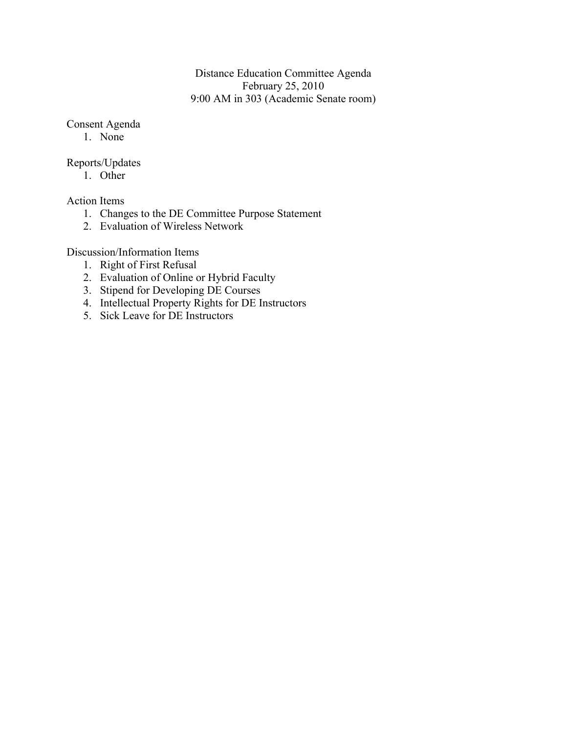## Distance Education Committee Agenda February 25, 2010 9:00 AM in 303 (Academic Senate room)

# Consent Agenda

1. None

# Reports/Updates

1. Other

Action Items

- 1. Changes to the DE Committee Purpose Statement
- 2. Evaluation of Wireless Network

# Discussion/Information Items

- 1. Right of First Refusal
- 2. Evaluation of Online or Hybrid Faculty
- 3. Stipend for Developing DE Courses
- 4. Intellectual Property Rights for DE Instructors
- 5. Sick Leave for DE Instructors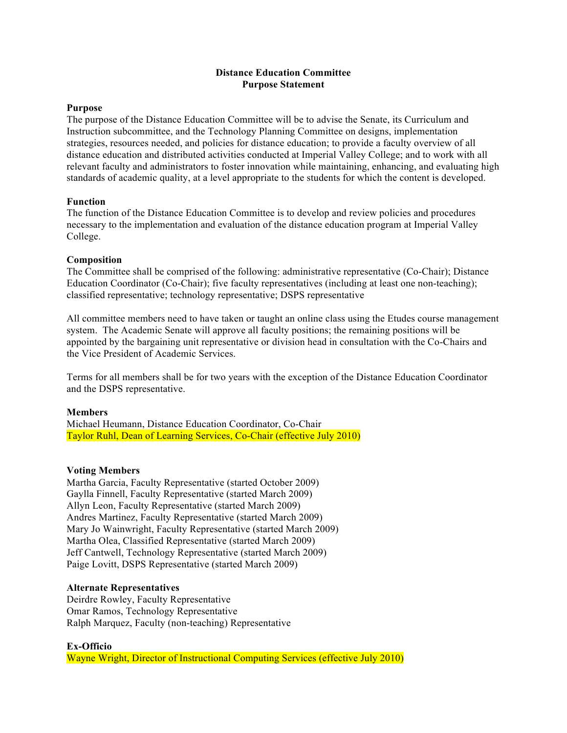### **Distance Education Committee Purpose Statement**

#### **Purpose**

The purpose of the Distance Education Committee will be to advise the Senate, its Curriculum and Instruction subcommittee, and the Technology Planning Committee on designs, implementation strategies, resources needed, and policies for distance education; to provide a faculty overview of all distance education and distributed activities conducted at Imperial Valley College; and to work with all relevant faculty and administrators to foster innovation while maintaining, enhancing, and evaluating high standards of academic quality, at a level appropriate to the students for which the content is developed.

#### **Function**

The function of the Distance Education Committee is to develop and review policies and procedures necessary to the implementation and evaluation of the distance education program at Imperial Valley College.

#### **Composition**

The Committee shall be comprised of the following: administrative representative (Co-Chair); Distance Education Coordinator (Co-Chair); five faculty representatives (including at least one non-teaching); classified representative; technology representative; DSPS representative

All committee members need to have taken or taught an online class using the Etudes course management system. The Academic Senate will approve all faculty positions; the remaining positions will be appointed by the bargaining unit representative or division head in consultation with the Co-Chairs and the Vice President of Academic Services.

Terms for all members shall be for two years with the exception of the Distance Education Coordinator and the DSPS representative.

### **Members**

Michael Heumann, Distance Education Coordinator, Co-Chair Taylor Ruhl, Dean of Learning Services, Co-Chair (effective July 2010)

### **Voting Members**

Martha Garcia, Faculty Representative (started October 2009) Gaylla Finnell, Faculty Representative (started March 2009) Allyn Leon, Faculty Representative (started March 2009) Andres Martinez, Faculty Representative (started March 2009) Mary Jo Wainwright, Faculty Representative (started March 2009) Martha Olea, Classified Representative (started March 2009) Jeff Cantwell, Technology Representative (started March 2009) Paige Lovitt, DSPS Representative (started March 2009)

#### **Alternate Representatives**

Deirdre Rowley, Faculty Representative Omar Ramos, Technology Representative Ralph Marquez, Faculty (non-teaching) Representative

#### **Ex-Officio**

Wayne Wright, Director of Instructional Computing Services (effective July 2010)